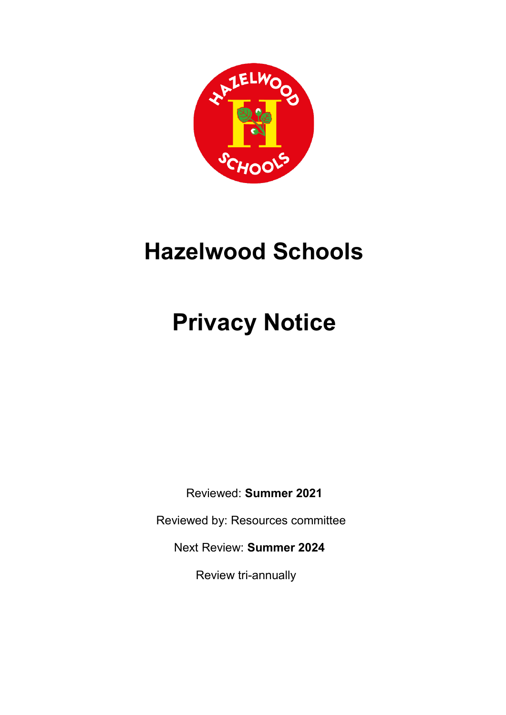

# **Hazelwood Schools**

# **Privacy Notice**

Reviewed: **Summer 2021**

Reviewed by: Resources committee

Next Review: **Summer 2024**

Review tri-annually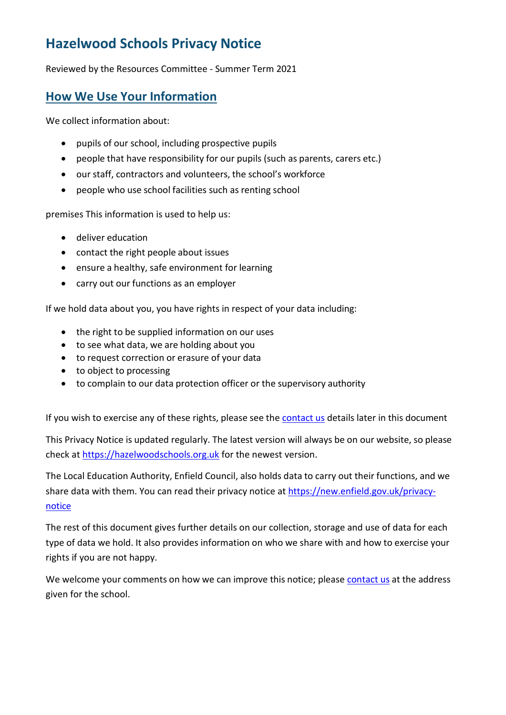## **Hazelwood Schools Privacy Notice**

Reviewed by the Resources Committee - Summer Term 2021

## **How We Use Your Information**

We collect information about:

- pupils of our school, including prospective pupils
- people that have responsibility for our pupils (such as parents, carers etc.)
- our staff, contractors and volunteers, the school's workforce
- people who use school facilities such as renting school

premises This information is used to help us:

- deliver education
- contact the right people about issues
- ensure a healthy, safe environment for learning
- carry out our functions as an employer

If we hold data about you, you have rights in respect of your data including:

- the right to be supplied information on our uses
- to see what data, we are holding about you
- to request correction or erasure of your data
- to object to processing
- to complain to our data protection officer or the supervisory authority

If you wish to exercise any of these rights, please see the [contact](#page-5-0) us details later in this document

This Privacy Notice is updated regularly. The latest version will always be on our website, so please check at [https://hazelwoodschools.org.uk](https://hazelwoodschools.org.uk/?page_id=71) for the newest version.

The Local Education Authority, Enfield Council, also holds data to carry out their functions, and we share data with them. You can read their privacy notice at [https://new.enfield.gov.uk/privacy](https://new.enfield.gov.uk/privacy-notice)[notice](https://new.enfield.gov.uk/privacy-notice)

The rest of this document gives further details on our collection, storage and use of data for each type of data we hold. It also provides information on who we share with and how to exercise your rights if you are not happy.

We welcome your comments on how we can improve this notice; please [contact](#page-5-0) us at the address given for the school.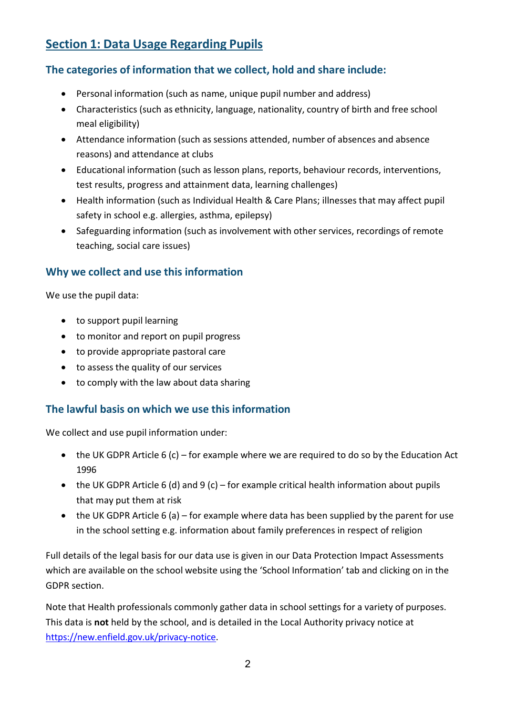## **Section 1: Data Usage Regarding Pupils**

#### **The categories of information that we collect, hold and share include:**

- Personal information (such as name, unique pupil number and address)
- Characteristics (such as ethnicity, language, nationality, country of birth and free school meal eligibility)
- Attendance information (such as sessions attended, number of absences and absence reasons) and attendance at clubs
- Educational information (such as lesson plans, reports, behaviour records, interventions, test results, progress and attainment data, learning challenges)
- Health information (such as Individual Health & Care Plans; illnesses that may affect pupil safety in school e.g. allergies, asthma, epilepsy)
- Safeguarding information (such as involvement with other services, recordings of remote teaching, social care issues)

#### **Why we collect and use this information**

We use the pupil data:

- to support pupil learning
- to monitor and report on pupil progress
- to provide appropriate pastoral care
- to assess the quality of our services
- to comply with the law about data sharing

#### **The lawful basis on which we use this information**

We collect and use pupil information under:

- the UK GDPR Article 6 (c) for example where we are required to do so by the Education Act 1996
- the UK GDPR Article 6 (d) and 9 (c) for example critical health information about pupils that may put them at risk
- the UK GDPR Article 6 (a) for example where data has been supplied by the parent for use in the school setting e.g. information about family preferences in respect of religion

Full details of the legal basis for our data use is given in our Data Protection Impact Assessments which are available on the school website using the 'School Information' tab and clicking on in the GDPR section.

Note that Health professionals commonly gather data in school settings for a variety of purposes. This data is **not** held by the school, and is detailed in the Local Authority privacy notice at [https://new.enfield.gov.uk/privacy-notice.](https://new.enfield.gov.uk/privacy-notice)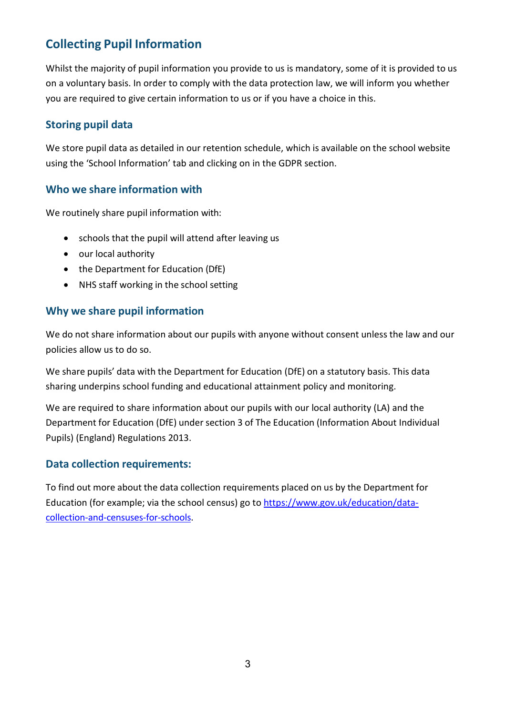## **Collecting Pupil Information**

Whilst the majority of pupil information you provide to us is mandatory, some of it is provided to us on a voluntary basis. In order to comply with the data protection law, we will inform you whether you are required to give certain information to us or if you have a choice in this.

#### **Storing pupil data**

We store pupil data as detailed in our retention schedule, which is available on the school website using the 'School Information' tab and clicking on in the GDPR section.

#### **Who we share information with**

We routinely share pupil information with:

- schools that the pupil will attend after leaving us
- our local authority
- the Department for Education (DfE)
- NHS staff working in the school setting

#### **Why we share pupil information**

We do not share information about our pupils with anyone without consent unless the law and our policies allow us to do so.

We share pupils' data with the Department for Education (DfE) on a statutory basis. This data sharing underpins school funding and educational attainment policy and monitoring.

We are required to share information about our pupils with our local authority (LA) and the Department for Education (DfE) under section 3 of The Education (Information About Individual Pupils) (England) Regulations 2013.

#### **Data collection requirements:**

To find out more about the data collection requirements placed on us by the Department for Education (for example; via the school census) go to [https://www.gov.uk/education/data](https://www.gov.uk/education/data-collection-and-censuses-for-schools)[collection-and-censuses-for-schools.](https://www.gov.uk/education/data-collection-and-censuses-for-schools)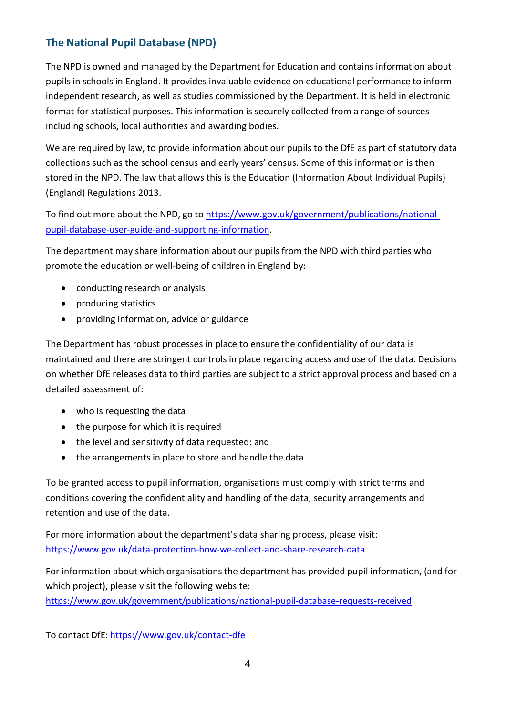### **The National Pupil Database (NPD)**

The NPD is owned and managed by the Department for Education and contains information about pupils in schools in England. It provides invaluable evidence on educational performance to inform independent research, as well as studies commissioned by the Department. It is held in electronic format for statistical purposes. This information is securely collected from a range of sources including schools, local authorities and awarding bodies.

We are required by law, to provide information about our pupils to the DfE as part of statutory data collections such as the school census and early years' census. Some of this information is then stored in the NPD. The law that allows this is the Education (Information About Individual Pupils) (England) Regulations 2013.

To find out more about the NPD, go to [https://www.gov.uk/government/publications/national](https://www.gov.uk/government/publications/national-pupil-database-user-guide-and-supporting-information)[pupil-database-user-guide-and-supporting-information.](https://www.gov.uk/government/publications/national-pupil-database-user-guide-and-supporting-information)

The department may share information about our pupils from the NPD with third parties who promote the education or well-being of children in England by:

- conducting research or analysis
- producing statistics
- providing information, advice or guidance

The Department has robust processes in place to ensure the confidentiality of our data is maintained and there are stringent controls in place regarding access and use of the data. Decisions on whether DfE releases data to third parties are subject to a strict approval process and based on a detailed assessment of:

- who is requesting the data
- the purpose for which it is required
- the level and sensitivity of data requested: and
- the arrangements in place to store and handle the data

To be granted access to pupil information, organisations must comply with strict terms and conditions covering the confidentiality and handling of the data, security arrangements and retention and use of the data.

For more information about the department's data sharing process, please visit: <https://www.gov.uk/data-protection-how-we-collect-and-share-research-data>

For information about which organisations the department has provided pupil information, (and for which project), please visit the following website:

<https://www.gov.uk/government/publications/national-pupil-database-requests-received>

To contact DfE: <https://www.gov.uk/contact-dfe>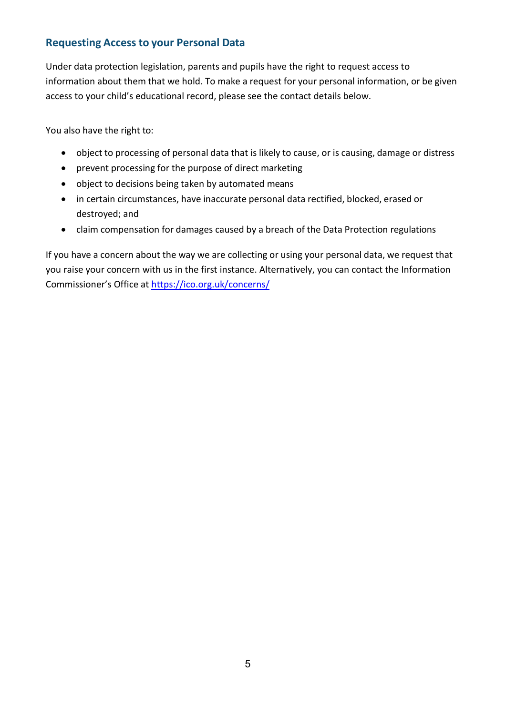#### <span id="page-5-0"></span>**Requesting Access to your Personal Data**

Under data protection legislation, parents and pupils have the right to request access to information about them that we hold. To make a request for your personal information, or be given access to your child's educational record, please see the contact details below.

You also have the right to:

- object to processing of personal data that is likely to cause, or is causing, damage or distress
- prevent processing for the purpose of direct marketing
- object to decisions being taken by automated means
- in certain circumstances, have inaccurate personal data rectified, blocked, erased or destroyed; and
- claim compensation for damages caused by a breach of the Data Protection regulations

If you have a concern about the way we are collecting or using your personal data, we request that you raise your concern with us in the first instance. Alternatively, you can contact the Information Commissioner's Office at<https://ico.org.uk/concerns/>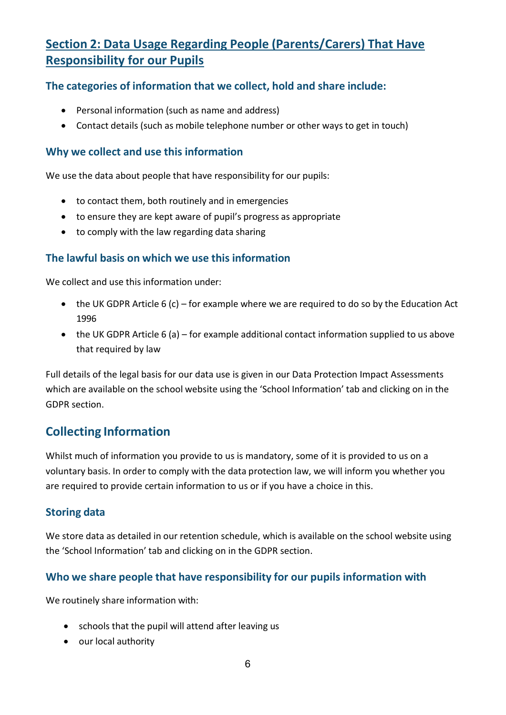## **Section 2: Data Usage Regarding People (Parents/Carers) That Have Responsibility for our Pupils**

#### **The categories of information that we collect, hold and share include:**

- Personal information (such as name and address)
- Contact details (such as mobile telephone number or other ways to get in touch)

#### **Why we collect and use this information**

We use the data about people that have responsibility for our pupils:

- to contact them, both routinely and in emergencies
- to ensure they are kept aware of pupil's progress as appropriate
- to comply with the law regarding data sharing

#### **The lawful basis on which we use this information**

We collect and use this information under:

- the UK GDPR Article 6 (c) for example where we are required to do so by the Education Act 1996
- the UK GDPR Article 6 (a) for example additional contact information supplied to us above that required by law

Full details of the legal basis for our data use is given in our Data Protection Impact Assessments which are available on the school website using the 'School Information' tab and clicking on in the GDPR section.

## **Collecting Information**

Whilst much of information you provide to us is mandatory, some of it is provided to us on a voluntary basis. In order to comply with the data protection law, we will inform you whether you are required to provide certain information to us or if you have a choice in this.

#### **Storing data**

We store data as detailed in our retention schedule, which is available on the school website using the 'School Information' tab and clicking on in the GDPR section.

#### **Who we share people that have responsibility for our pupils information with**

We routinely share information with:

- schools that the pupil will attend after leaving us
- our local authority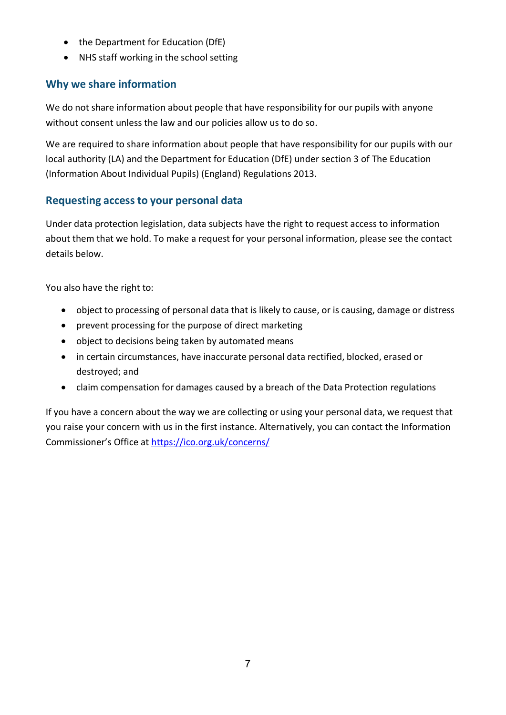- the Department for Education (DfE)
- NHS staff working in the school setting

## **Why we share information**

We do not share information about people that have responsibility for our pupils with anyone without consent unless the law and our policies allow us to do so.

We are required to share information about people that have responsibility for our pupils with our local authority (LA) and the Department for Education (DfE) under section 3 of The Education (Information About Individual Pupils) (England) Regulations 2013.

#### **Requesting access to your personal data**

Under data protection legislation, data subjects have the right to request access to information about them that we hold. To make a request for your personal information, please see the contact details below.

You also have the right to:

- object to processing of personal data that is likely to cause, or is causing, damage or distress
- prevent processing for the purpose of direct marketing
- object to decisions being taken by automated means
- in certain circumstances, have inaccurate personal data rectified, blocked, erased or destroyed; and
- claim compensation for damages caused by a breach of the Data Protection regulations

If you have a concern about the way we are collecting or using your personal data, we request that you raise your concern with us in the first instance. Alternatively, you can contact the Information Commissioner's Office at<https://ico.org.uk/concerns/>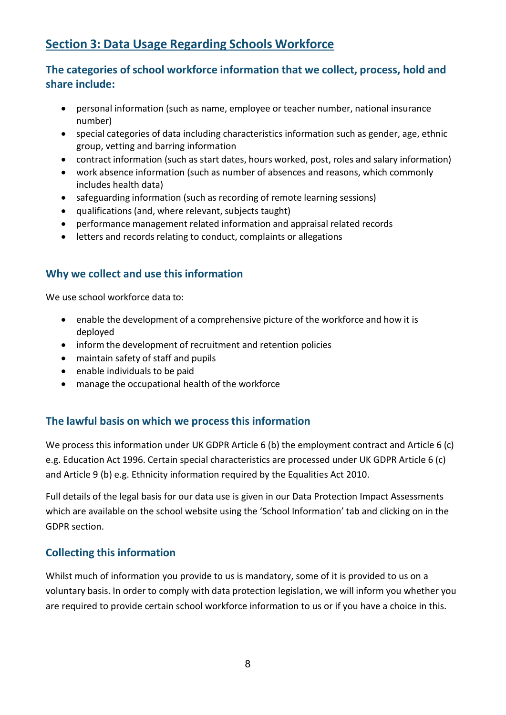## **Section 3: Data Usage Regarding Schools Workforce**

### **The categories ofschool workforce information that we collect, process, hold and share include:**

- personal information (such as name, employee or teacher number, national insurance number)
- special categories of data including characteristics information such as gender, age, ethnic group, vetting and barring information
- contract information (such as start dates, hours worked, post, roles and salary information)
- work absence information (such as number of absences and reasons, which commonly includes health data)
- safeguarding information (such as recording of remote learning sessions)
- qualifications (and, where relevant, subjects taught)
- performance management related information and appraisal related records
- letters and records relating to conduct, complaints or allegations

#### **Why we collect and use this information**

We use school workforce data to:

- enable the development of a comprehensive picture of the workforce and how it is deployed
- inform the development of recruitment and retention policies
- maintain safety of staff and pupils
- enable individuals to be paid
- manage the occupational health of the workforce

#### **The lawful basis on which we processthis information**

We process this information under UK GDPR Article 6 (b) the employment contract and Article 6 (c) e.g. Education Act 1996. Certain special characteristics are processed under UK GDPR Article 6 (c) and Article 9 (b) e.g. Ethnicity information required by the Equalities Act 2010.

Full details of the legal basis for our data use is given in our Data Protection Impact Assessments which are available on the school website using the 'School Information' tab and clicking on in the GDPR section.

#### **Collecting this information**

Whilst much of information you provide to us is mandatory, some of it is provided to us on a voluntary basis. In order to comply with data protection legislation, we will inform you whether you are required to provide certain school workforce information to us or if you have a choice in this.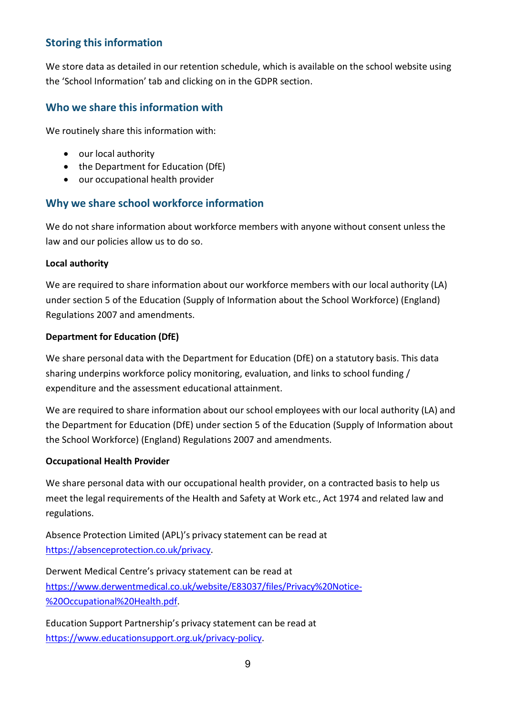#### **Storing this information**

We store data as detailed in our retention schedule, which is available on the school website using the 'School Information' tab and clicking on in the GDPR section.

#### **Who we share this information with**

We routinely share this information with:

- our local authority
- the Department for Education (DfE)
- our occupational health provider

#### **Why we share school workforce information**

We do not share information about workforce members with anyone without consent unless the law and our policies allow us to do so.

#### **Local authority**

We are required to share information about our workforce members with our local authority (LA) under section 5 of the Education (Supply of Information about the School Workforce) (England) Regulations 2007 and amendments.

#### **Department for Education (DfE)**

We share personal data with the Department for Education (DfE) on a statutory basis. This data sharing underpins workforce policy monitoring, evaluation, and links to school funding / expenditure and the assessment educational attainment.

We are required to share information about our school employees with our local authority (LA) and the Department for Education (DfE) under section 5 of the Education (Supply of Information about the School Workforce) (England) Regulations 2007 and amendments.

#### **Occupational Health Provider**

We share personal data with our occupational health provider, on a contracted basis to help us meet the legal requirements of the Health and Safety at Work etc., Act 1974 and related law and regulations.

Absence Protection Limited (APL)'s privacy statement can be read at [https://absenceprotection.co.uk/privacy.](https://absenceprotection.co.uk/privacy)

Derwent Medical Centre's privacy statement can be read at [https://www.derwentmedical.co.uk/website/E83037/files/Privacy%20Notice-](https://www.derwentmedical.co.uk/website/E83037/files/Privacy%20Notice-%20Occupational%20Health.pdf) [%20Occupational%20Health.pdf.](https://www.derwentmedical.co.uk/website/E83037/files/Privacy%20Notice-%20Occupational%20Health.pdf)

Education Support Partnership's privacy statement can be read at [https://www.educationsupport.org.uk/privacy-policy.](https://www.educationsupport.org.uk/privacy-policy)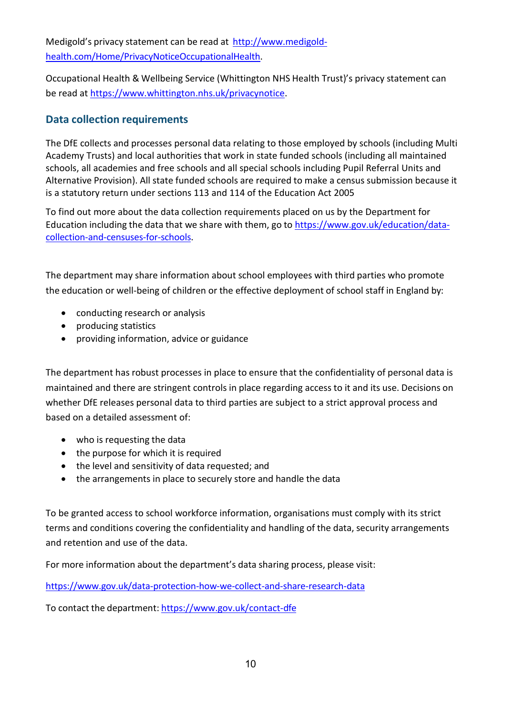Medigold's privacy statement can be read at [http://www.medigold](http://www.medigold-health.com/Home/PrivacyNoticeOccupationalHealth)[health.com/Home/PrivacyNoticeOccupationalHealth.](http://www.medigold-health.com/Home/PrivacyNoticeOccupationalHealth)

Occupational Health & Wellbeing Service (Whittington NHS Health Trust)'s privacy statement can be read at [https://www.whittington.nhs.uk/privacynotice.](https://www.whittington.nhs.uk/privacynotice)

#### **Data collection requirements**

The DfE collects and processes personal data relating to those employed by schools (including Multi Academy Trusts) and local authorities that work in state funded schools (including all maintained schools, all academies and free schools and all special schools including Pupil Referral Units and Alternative Provision). All state funded schools are required to make a census submission because it is a statutory return under sections 113 and 114 of the Education Act 2005

To find out more about the data collection requirements placed on us by the Department for Education including the data that we share with them, go to [https://www.gov.uk/education/data](https://www.gov.uk/education/data-collection-and-censuses-for-schools)[collection-and-censuses-for-schools.](https://www.gov.uk/education/data-collection-and-censuses-for-schools)

The department may share information about school employees with third parties who promote the education or well-being of children or the effective deployment of school staff in England by:

- conducting research or analysis
- producing statistics
- providing information, advice or guidance

The department has robust processes in place to ensure that the confidentiality of personal data is maintained and there are stringent controls in place regarding access to it and its use. Decisions on whether DfE releases personal data to third parties are subject to a strict approval process and based on a detailed assessment of:

- who is requesting the data
- the purpose for which it is required
- the level and sensitivity of data requested; and
- the arrangements in place to securely store and handle the data

To be granted access to school workforce information, organisations must comply with its strict terms and conditions covering the confidentiality and handling of the data, security arrangements and retention and use of the data.

For more information about the department's data sharing process, please visit:

<https://www.gov.uk/data-protection-how-we-collect-and-share-research-data>

To contact the department: <https://www.gov.uk/contact-dfe>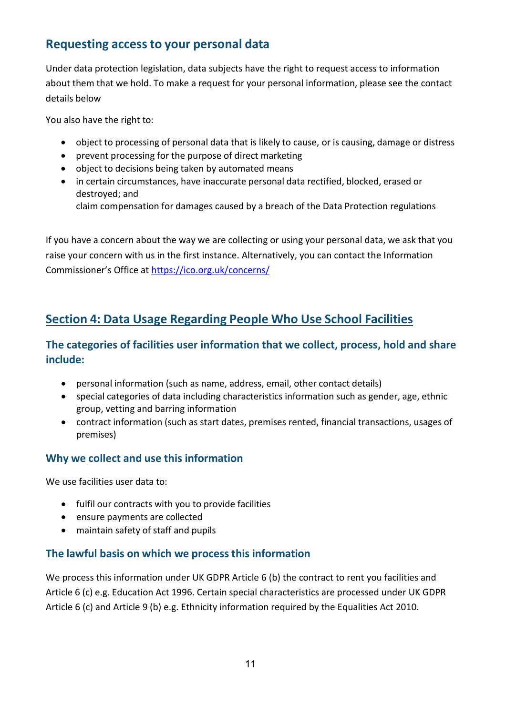## **Requesting accessto your personal data**

Under data protection legislation, data subjects have the right to request access to information about them that we hold. To make a request for your personal information, please see the contact details below

You also have the right to:

- object to processing of personal data that is likely to cause, or is causing, damage or distress
- prevent processing for the purpose of direct marketing
- object to decisions being taken by automated means
- in certain circumstances, have inaccurate personal data rectified, blocked, erased or destroyed; and

claim compensation for damages caused by a breach of the Data Protection regulations

If you have a concern about the way we are collecting or using your personal data, we ask that you raise your concern with us in the first instance. Alternatively, you can contact the Information Commissioner's Office at<https://ico.org.uk/concerns/>

## **Section 4: Data Usage Regarding People Who Use School Facilities**

#### **The categories of facilities user information that we collect, process, hold and share include:**

- personal information (such as name, address, email, other contact details)
- special categories of data including characteristics information such as gender, age, ethnic group, vetting and barring information
- contract information (such as start dates, premises rented, financial transactions, usages of premises)

#### **Why we collect and use this information**

We use facilities user data to:

- fulfil our contracts with you to provide facilities
- ensure payments are collected
- maintain safety of staff and pupils

#### **The lawful basis on which we processthis information**

We process this information under UK GDPR Article 6 (b) the contract to rent you facilities and Article 6 (c) e.g. Education Act 1996. Certain special characteristics are processed under UK GDPR Article 6 (c) and Article 9 (b) e.g. Ethnicity information required by the Equalities Act 2010.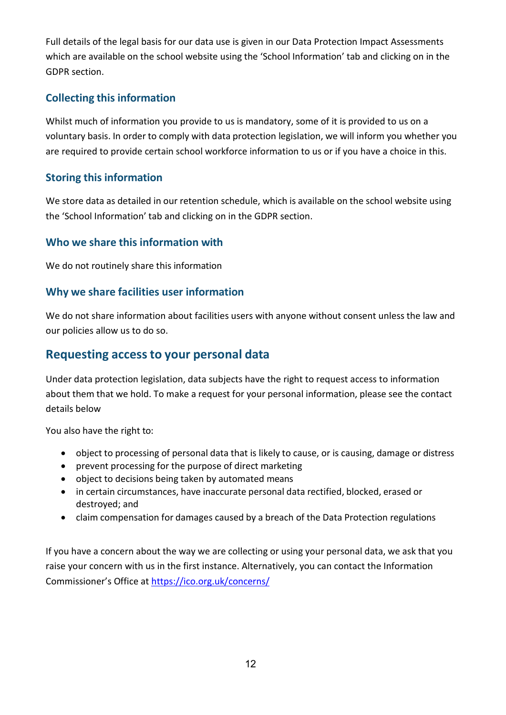Full details of the legal basis for our data use is given in our Data Protection Impact Assessments which are available on the school website using the 'School Information' tab and clicking on in the GDPR section.

### **Collecting this information**

Whilst much of information you provide to us is mandatory, some of it is provided to us on a voluntary basis. In order to comply with data protection legislation, we will inform you whether you are required to provide certain school workforce information to us or if you have a choice in this.

#### **Storing this information**

We store data as detailed in our retention schedule, which is available on the school website using the 'School Information' tab and clicking on in the GDPR section.

#### **Who we share this information with**

We do not routinely share this information

### **Why we share facilities user information**

We do not share information about facilities users with anyone without consent unless the law and our policies allow us to do so.

## **Requesting accessto your personal data**

Under data protection legislation, data subjects have the right to request access to information about them that we hold. To make a request for your personal information, please see the contact details below

You also have the right to:

- object to processing of personal data that is likely to cause, or is causing, damage or distress
- prevent processing for the purpose of direct marketing
- object to decisions being taken by automated means
- in certain circumstances, have inaccurate personal data rectified, blocked, erased or destroyed; and
- claim compensation for damages caused by a breach of the Data Protection regulations

If you have a concern about the way we are collecting or using your personal data, we ask that you raise your concern with us in the first instance. Alternatively, you can contact the Information Commissioner's Office at<https://ico.org.uk/concerns/>